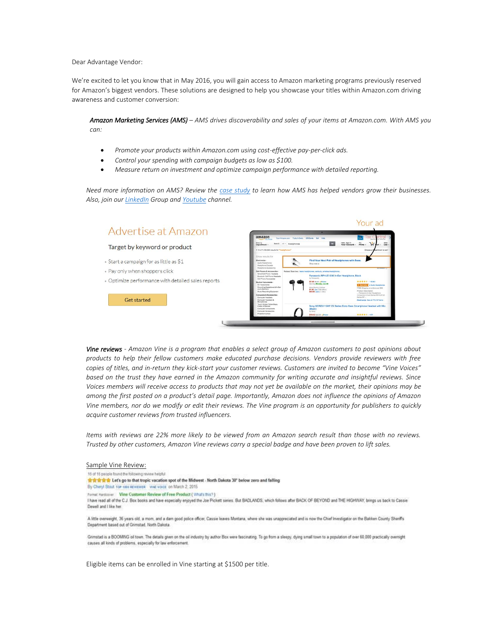Dear Advantage Vendor:

 We're excited to let you know that in May 2016, you will gain access to Amazon marketing programs previously reserved for Amazon's biggest vendors. These solutions are designed to help you showcase your titles within Amazon.com driving awareness and customer conversion:

*Amazon Marketing Services (AMS) – AMS drives discoverability and sales of your items at Amazon.com. With AMS you can:*

- *Promote your products within Amazon.com using cost-effective pay-per-click ads.*
- *Control your spending with campaign budgets as low as \$100.*
- *Measure return on investment and optimize campaign performance with detailed reporting.*

*Need more information on AMS? Review the [case study](https://images-na.ssl-images-amazon.com/images/G/01/AmazonBrandStoresPlatform/CaseStudy._CB304279416_.pdf) to learn how AMS has helped vendors grow their businesses. Also, join ou[r LinkedIn](https://www.linkedin.com/grps?home=&gid=6795812&trk=anet_ug_hm) Group an[d Youtube](https://www.youtube.com/channel/UCGRjlfFeU-5eC-ElShfwYPw?sub_confirmation=1) channel.*



*Vine reviews - Amazon Vine is a program that enables a select group of Amazon customers to post opinions about products to help their fellow customers make educated purchase decisions. Vendors provide reviewers with free copies of titles, and in-return they kick-start your customer reviews. Customers are invited to become "Vine Voices" based on the trust they have earned in the Amazon community for writing accurate and insightful reviews. Since Voices members will receive access to products that may not yet be available on the market, their opinions may be among the first posted on a product's detail page. Importantly, Amazon does not influence the opinions of Amazon Vine members, nor do we modify or edit their reviews. The Vine program is an opportunity for publishers to quickly acquire customer reviews from trusted influencers.*

*Items with reviews are 22% more likely to be viewed from an Amazon search result than those with no reviews. Trusted by other customers, Amazon Vine reviews carry a special badge and have been proven to lift sales.*

## Sample Vine Review:

15 of 15 people found the following review height

音会会会会 Let's go to that tropic vacation spot of the Midwest - North Dakota 30" below zero and falling

By Cheryl Stout Yor 1000 REVIEWER VINE VOICE on March 2, 2015

Format Hardcover | Vine Customer Review of Free Product (What's this?)

I have read all of the C.J. Box books and have especially enjoyed the Joe Pickett senes. But BADLANDS, which follows after BACK OF BEYOND and THE HIGHWAY, brings us back to Cassie Dewell and I like her

A little overweight, 36 years old, a mom, and a dam good police officer, Cassie leaves Montana, where she was unappreciated and is now the Chief Investigator on the Bakken County Sheriffs Department based out of Grimstad, North Dakota.

Grimstad is a BOOMING oil town. The details given on the oil industry by author Box were fascinating. To go from a sleepy, dying small town to a population of over 60,000 practically overnight causes all kinds of problems, especially for law enforcement

Eligible items can be enrolled in Vine starting at \$1500 per title.